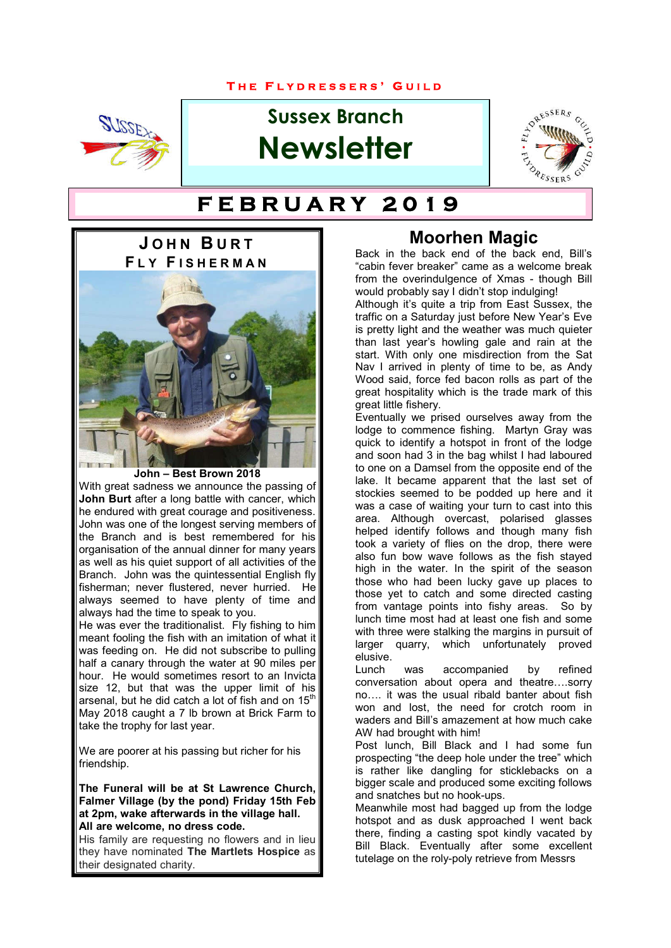### **T H E F L Y D R E S S E R S ' G U I L D**



# **Sussex Branch Newsletter**



# **T H E F L Y D R E S S E R S ' G U I L D F E B R U A R Y 2 0 1 9**



**John – Best Brown 2018**

With great sadness we announce the passing of **John Burt** after a long battle with cancer, which he endured with great courage and positiveness. John was one of the longest serving members of the Branch and is best remembered for his organisation of the annual dinner for many years as well as his quiet support of all activities of the Branch. John was the quintessential English fly fisherman; never flustered, never hurried. He always seemed to have plenty of time and always had the time to speak to you.

He was ever the traditionalist. Fly fishing to him meant fooling the fish with an imitation of what it was feeding on. He did not subscribe to pulling half a canary through the water at 90 miles per hour. He would sometimes resort to an Invicta size 12, but that was the upper limit of his arsenal, but he did catch a lot of fish and on 15<sup>th</sup> May 2018 caught a 7 lb brown at Brick Farm to take the trophy for last year.

We are poorer at his passing but richer for his friendship.

**The Funeral will be at St Lawrence Church, Falmer Village (by the pond) Friday 15th Feb at 2pm, wake afterwards in the village hall. All are welcome, no dress code.**

His family are requesting no flowers and in lieu they have nominated **The Martlets Hospice** as their designated charity.

### **Moorhen Magic**

Back in the back end of the back end, Bill's "cabin fever breaker" came as a welcome break from the overindulgence of Xmas - though Bill would probably say I didn't stop indulging!

Although it's quite a trip from East Sussex, the traffic on a Saturday just before New Year's Eve is pretty light and the weather was much quieter than last year's howling gale and rain at the start. With only one misdirection from the Sat Nav I arrived in plenty of time to be, as Andy Wood said, force fed bacon rolls as part of the great hospitality which is the trade mark of this great little fishery.

Eventually we prised ourselves away from the lodge to commence fishing. Martyn Gray was quick to identify a hotspot in front of the lodge and soon had 3 in the bag whilst I had laboured to one on a Damsel from the opposite end of the lake. It became apparent that the last set of stockies seemed to be podded up here and it was a case of waiting your turn to cast into this area. Although overcast, polarised glasses helped identify follows and though many fish took a variety of flies on the drop, there were also fun bow wave follows as the fish stayed high in the water. In the spirit of the season those who had been lucky gave up places to those yet to catch and some directed casting from vantage points into fishy areas. So by lunch time most had at least one fish and some with three were stalking the margins in pursuit of larger quarry, which unfortunately proved elusive.

Lunch was accompanied by refined conversation about opera and theatre….sorry no…. it was the usual ribald banter about fish won and lost, the need for crotch room in waders and Bill's amazement at how much cake AW had brought with him!

Post lunch, Bill Black and I had some fun prospecting "the deep hole under the tree" which is rather like dangling for sticklebacks on a bigger scale and produced some exciting follows and snatches but no hook-ups.

Meanwhile most had bagged up from the lodge hotspot and as dusk approached I went back there, finding a casting spot kindly vacated by Bill Black. Eventually after some excellent tutelage on the roly-poly retrieve from Messrs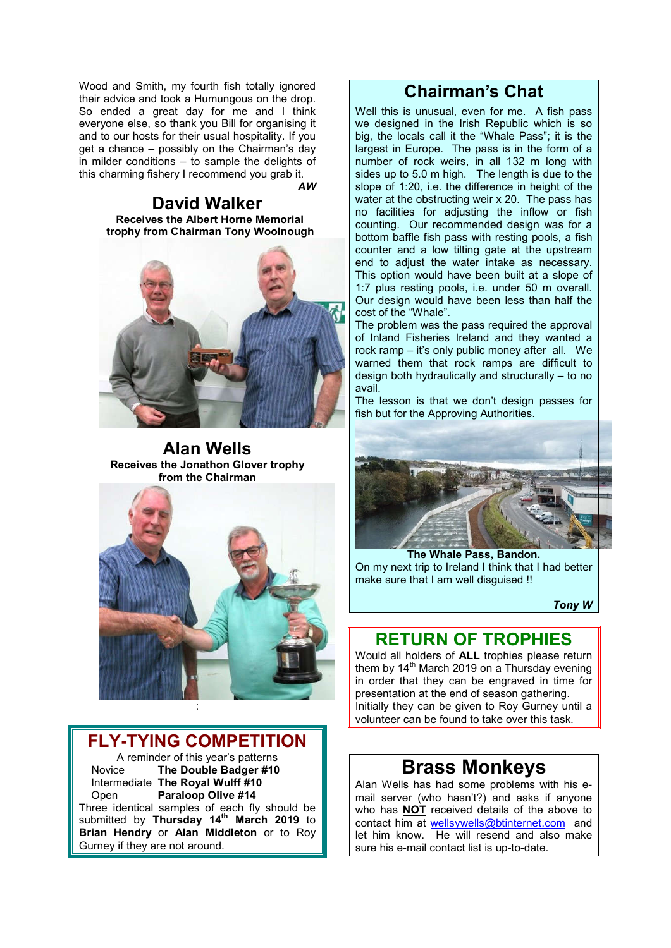Wood and Smith, my fourth fish totally ignored their advice and took a Humungous on the drop. So ended a great day for me and I think everyone else, so thank you Bill for organising it and to our hosts for their usual hospitality. If you get a chance – possibly on the Chairman's day in milder conditions – to sample the delights of this charming fishery I recommend you grab it.

*AW* 

**David Walker Beceives the Albert Horne Memorial trophy from Chairman Tony Woolnough**



**Alan Wells Receives the Jonathon Glover trophy from the Chairman**



### **FLY-TYING COMPETITION**

A reminder of this year's patterns<br>Novice **The Double Badger #10** The Double Badger #10 Intermediate **The Royal Wulff #10** Paraloop Olive #14

Three identical samples of each fly should be submitted by **Thursday 14th March 2019** to **Brian Hendry** or **Alan Middleton** or to Roy Gurney if they are not around.

### **Chairman's Chat**

Well this is unusual, even for me. A fish pass we designed in the Irish Republic which is so big, the locals call it the "Whale Pass"; it is the largest in Europe. The pass is in the form of a number of rock weirs, in all 132 m long with sides up to 5.0 m high. The length is due to the slope of 1:20, i.e. the difference in height of the water at the obstructing weir x 20. The pass has no facilities for adjusting the inflow or fish counting. Our recommended design was for a bottom baffle fish pass with resting pools, a fish counter and a low tilting gate at the upstream end to adjust the water intake as necessary. This option would have been built at a slope of 1:7 plus resting pools, i.e. under 50 m overall. Our design would have been less than half the cost of the "Whale".

The problem was the pass required the approval of Inland Fisheries Ireland and they wanted a rock ramp – it's only public money after all. We warned them that rock ramps are difficult to design both hydraulically and structurally – to no avail.

The lesson is that we don't design passes for fish but for the Approving Authorities.



**The Whale Pass, Bandon.** On my next trip to Ireland I think that I had better make sure that I am well disguised !!

*Tony W*

### **RETURN OF TROPHIES**

Would all holders of **ALL** trophies please return them by  $14<sup>th</sup>$  March 2019 on a Thursday evening in order that they can be engraved in time for presentation at the end of season gathering. Initially they can be given to Roy Gurney until a volunteer can be found to take over this task.

# **Brass Monkeys**

Alan Wells has had some problems with his email server (who hasn't?) and asks if anyone who has **NOT** received details of the above to contact him at wellsywells@btinternet.com and let him know. He will resend and also make sure his e-mail contact list is up-to-date.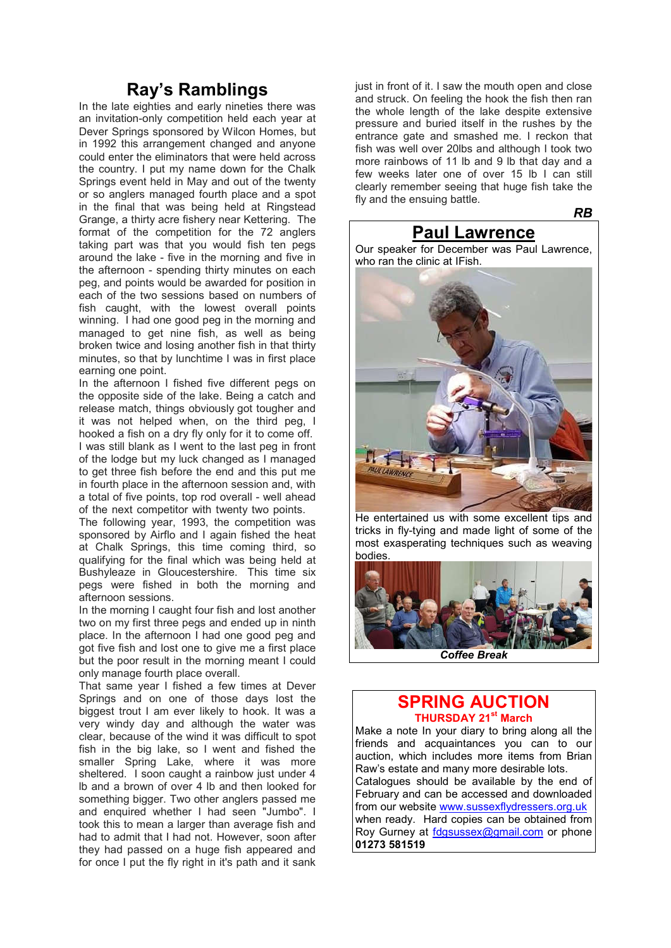### **Ray's Ramblings**

In the late eighties and early nineties there was an invitation-only competition held each year at Dever Springs sponsored by Wilcon Homes, but in 1992 this arrangement changed and anyone could enter the eliminators that were held across the country. I put my name down for the Chalk Springs event held in May and out of the twenty or so anglers managed fourth place and a spot in the final that was being held at Ringstead Grange, a thirty acre fishery near Kettering. The format of the competition for the 72 anglers taking part was that you would fish ten pegs around the lake - five in the morning and five in the afternoon - spending thirty minutes on each peg, and points would be awarded for position in each of the two sessions based on numbers of fish caught, with the lowest overall points winning. I had one good peg in the morning and managed to get nine fish, as well as being broken twice and losing another fish in that thirty minutes, so that by lunchtime I was in first place earning one point.

In the afternoon I fished five different pegs on the opposite side of the lake. Being a catch and release match, things obviously got tougher and it was not helped when, on the third peg, I hooked a fish on a dry fly only for it to come off.

I was still blank as I went to the last peg in front of the lodge but my luck changed as I managed to get three fish before the end and this put me in fourth place in the afternoon session and, with a total of five points, top rod overall - well ahead of the next competitor with twenty two points.

The following year, 1993, the competition was sponsored by Airflo and I again fished the heat at Chalk Springs, this time coming third, so qualifying for the final which was being held at Bushyleaze in Gloucestershire. This time six pegs were fished in both the morning and afternoon sessions.

In the morning I caught four fish and lost another two on my first three pegs and ended up in ninth place. In the afternoon I had one good peg and got five fish and lost one to give me a first place but the poor result in the morning meant I could only manage fourth place overall.

That same year I fished a few times at Dever Springs and on one of those days lost the biggest trout I am ever likely to hook. It was a very windy day and although the water was clear, because of the wind it was difficult to spot fish in the big lake, so I went and fished the smaller Spring Lake, where it was more sheltered. I soon caught a rainbow just under 4 lb and a brown of over 4 lb and then looked for something bigger. Two other anglers passed me and enquired whether I had seen "Jumbo". I took this to mean a larger than average fish and had to admit that I had not. However, soon after they had passed on a huge fish appeared and for once I put the fly right in it's path and it sank

just in front of it. I saw the mouth open and close and struck. On feeling the hook the fish then ran the whole length of the lake despite extensive pressure and buried itself in the rushes by the entrance gate and smashed me. I reckon that fish was well over 20lbs and although I took two more rainbows of 11 lb and 9 lb that day and a few weeks later one of over 15 lb I can still clearly remember seeing that huge fish take the fly and the ensuing battle.

**Paul Lawrence**

*RB*

Our speaker for December was Paul Lawrence, who ran the clinic at IFish.



 He entertained us with some excellent tips and tricks in fly-tying and made light of some of the most exasperating techniques such as weaving bodies.



### **SPRING AUCTION THURSDAY 21st March**

Make a note In your diary to bring along all the friends and acquaintances you can to our auction, which includes more items from Brian Raw's estate and many more desirable lots. Catalogues should be available by the end of February and can be accessed and downloaded from our website www.sussexflydressers.org.uk when ready. Hard copies can be obtained from Roy Gurney at fdgsussex@gmail.com or phone **01273 581519**